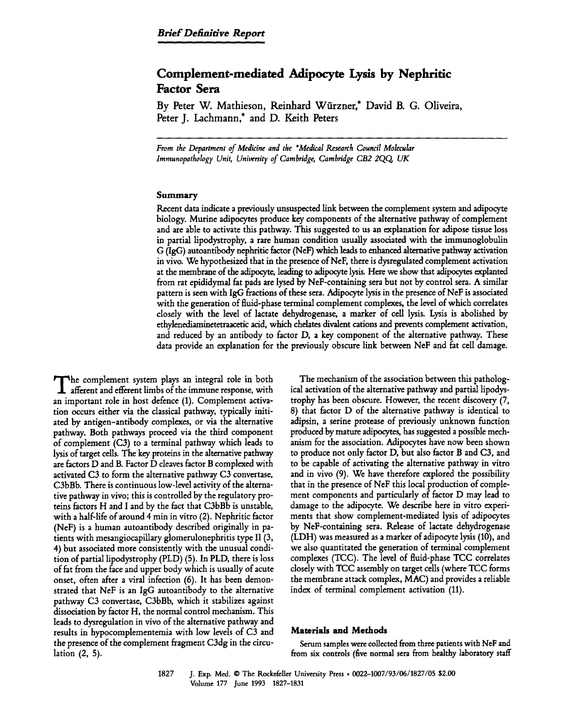# **Complement-mediated Adipocyte Lysis by Nephritic Factor Sera**

By Peter W. Mathieson, Reinhard W~irzner,\* David B. G. Oliveira, Peter J. Lachmann,\* and D. Keith Peters

*From the Department of Medicine and the \*Medical Research Council Molecular Immunotmthology Unit, University of Cambn'dge, Cambn'dge CB2 2QQ UK* 

### Summary

Recent data indicate a previously unsuspected link between the complement system and adipocyte biology. Murine adipocytes produce key components of the alternative pathway of complement and are able to activate this pathway. This suggested to us an explanation for adipose tissue loss in partial lipodystrophy, a rare human condition usually associated with the immunoglobulin G (IgG) autoantibody nephritic factor (NeF) which leads to enhanced alternative pathway activation in vivo. We hypothesized that in the presence of NeF, there is dysregulated complement activation at the membrane of the adipocyte, leading to adipocyte lysis. Here we show that adipocytes explanted from rat epididymal fat pads are lysed by NeF-containing sera but not by control sera. A similar pattern is seen with IgG fractions of these sera. Adipocyte lysis in the presence of NeF is associated with the generation of fluid-phase terminal complement complexes, the level of which correlates closely with the level of lactate dehydrogenase, a marker of cell lysis. Lysis is abolished by ethylenediaminetetraacetic acid, which chelates divalent cations and prevents complement activation, and reduced by an antibody to factor D, a key component of the alternative pathway. These data provide an explanation for the previously obscure link between NeF and fat cell damage.

The complement system plays an integral role in both afferent and efferent limbs of the immune response, with an important role in host defence (1). Complement activation occurs either via the classical pathway, typically initiated by antigen-antibody complexes, or via the alternative pathway. Both pathways proceed via the third component of complement (C3) to a terminal pathway which leads to lysis of target cells. The key proteins in the alternative pathway are factors D and B. Factor D cleaves factor B complexed with activated C3 to form the alternative pathway C3 convertase, C3bBb. There is continuous low-level activity of the alternative pathway in vivo; this is controlled by the regulatory proteins factors H and I and by the fact that C3bBb is unstable, with a half-life of around 4 min in vitro (2). Nephritic factor (NeF) is a human autoantibody described originally in patients with mesangiocapillary glomerulonephritis type II (3, 4) but associated more consistently with the unusual condition of partial lipodystrophy (PLD) (5). In PLD, there is loss of fat from the face and upper body which is usually of acute onset, often after a viral infection (6). It has been demonstrated that NeF is an IgG autoantibody to the alternative pathway C3 convertase, C3bBb, which it stabilizes against dissociation by factor H, the normal control mechanism. This leads to dysregulation in vivo of the alternative pathway and results in hypocomplementemia with low levels of C3 and the presence of the complement fragment C3dg in the circulation (2, 5).

The mechanism of the association between this pathological activation of the alternative pathway and partial lipodystrophy has been obscure. However, the recent discovery (7, 8) that factor D of the alternative pathway is identical to adipsin, a serine protease of previously unknown function produced by mature adipocytes, has suggested a possible mechanism for the association. Adipocytes have now been shown to produce not only factor D, but also factor B and C3, and to be capable of activating the alternative pathway in vitro and in vivo (9). We have therefore explored the possibility that in the presence of NeF this local production of complement components and particularly of factor D may lead to damage to the adipocyte. We describe here in vitro experiments that show complement-mediated lysis of adipocytes by NeF-containing sera. Release of lactate dehydrogenase (LDH) was measured as a marker of adipocyte lysis (10), and we also quantitated the generation of terminal complement complexes (TCC). The level of fluid-phase TCC correlates closely with TCC assembly on target cells (where TCC forms the membrane attack complex, MAC) and provides a reliable index of terminal complement activation (11).

# Materials and Methods

Serum samples were collected from three patients with NeF and from six controls (five normal sera from healthy laboratory staff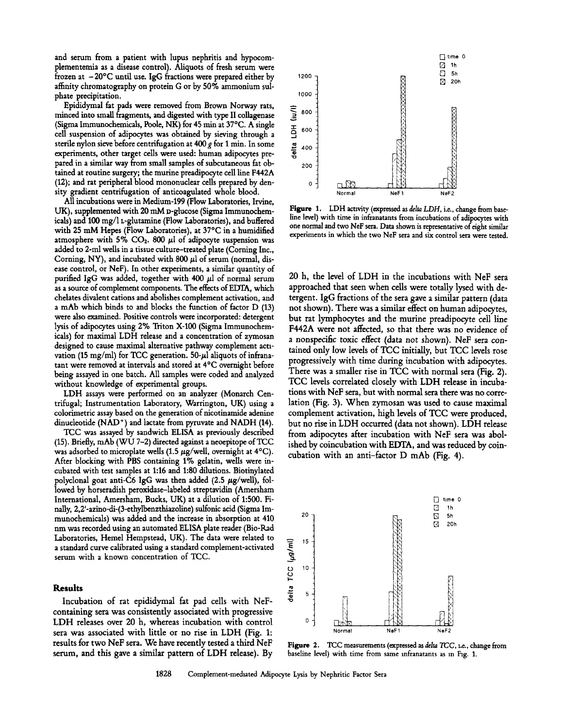and serum from a patient with lupus nephritis and hypocomplementemia as a disease control). Aliquots of fresh serum were frozen at  $-20^{\circ}$ C until use. IgG fractions were prepared either by 1200 affinity chromatography on protein G or by 50% ammonium sulphate precipitation.  $\frac{1000}{2000}$ 

Epididymal fat pads were removed from Brown Norway rats,  $\equiv$  800 nord into small fragments, and digested with type II collagenase minced into small fragments, and digested with type II collagenase (Sigma Immunochemicals, Poole, NK) for 45 min at 37°C. A single<br>cell suspension of adipocytes was obtained by sieving through a<br>sterile nylon sieve before centrifugation at 400 g for 1 min. In some<br>experiments, other targ cell suspension of adipocytes was obtained by sieving through a sterile nylon sieve before centrifugation at 400 g for 1 min. In some  $\frac{2}{\epsilon^2}$  400 experiments, other target cells were used: human adipocytes prepared in a similar way from small samples of subcutaneous fat ob- $_{200}$ tained at routine surgery; the murine preadipocyte cell line F442A (12); and rat peripheral blood mononuclear cells prepared by density gradient centrifugation of anticoagulated whole blood.

All incubations were in Medium-199 (Flow Laboratories, Irvine, UK), supplemented with 20 mM D-glucose (Sigma Immunochemicals) and 100 mg/1 t-glutamine (Flow Laboratories), and buffered with 25 mM Hepes (Flow Laboratories), at  $37^{\circ}$ C in a humidified atmosphere with 5%  $CO<sub>2</sub>$ . 800  $\mu$ l of adipocyte suspension was added to 2-ml wells in a tissue culture-treated plate (Corning Inc., Corning, NY), and incubated with 800  $\mu$ l of serum (normal, disease control, or NeF). In other experiments, a similar quantity of purified IgG was added, together with 400  $\mu$ l of normal serum as a source of complement components. The effects of EDTA, which chelates divalent cations and abolishes complement activation, and a mAb which binds to and blocks the function of factor D (13) were also examined. Positive controls were incorporated: detergent lysis of adipocytes using 2% Triton X-100 (Sigma Immunochemicals) for maximal LDH release and a concentration of zymosan designed to cause maximal alternative pathway complement activation (15 mg/ml) for TCC generation. 50- $\mu$ l aliquots of infranatant were removed at intervals and stored at  $4^{\circ}$ C overnight before being assayed in one batch. All samples were coded and analyzed without knowledge of experimental groups.

LDH assays were performed on an analyzer (Monarch Centrifugal; Instrumentation Laboratory, Warrington, UK) using a colorimetric assay based on the generation of nicotinamide adenine dinucleotide (NAD<sup>+</sup>) and lactate from pyruvate and NADH (14).

TCC was assayed by sandwich ELISA as previously described (15). Briefly, mAb (WU 7-2) directed against a neoepitope of TCC was adsorbed to microplate wells (1.5  $\mu$ g/well, overnight at 4°C). After blocking with PBS containing 1% gelatin, wells were incubated with test samples at 1:16 and 1:80 dilutions. Biotinylated polyclonal goat anti-C6 IgG was then added (2.5  $\mu$ g/well), followed by horseradish peroxidase-labeled streptavidin (Amersham International, Amersham, Bucks, UK) at a dilution of 1:500. Finally, 2,2'-azino-di-(3-ethylbenzthiazoline) sulfonic acid (Sigma Immunochemicals) was added and the increase in absorption at 410 nm was recorded using an automated ELISA plate reader (Bio-Rad Laboratories, Hemel Hempstead, UK). The data were related to a standard curve calibrated using a standard complement-activated serum with a known concentration of TCC.

#### **Results**

Incubation of rat epididymal fat pad cells with NeFcontaining sera was consistently associated with progressive LDH releases over 20 h, whereas incubation with control sera was associated with little or no rise in LDH (Fig. 1: results for two NeF sera. We have recently tested a third NeF serum, and this gave a similar pattern of LDH release). By



Figure 1. LDH activity (expressed as *delta LDH*, i.e., change from baseline level) with time in infranatants from incubations of adipocytes with one normal and two NeF sen. Data shown is representative of eight similar experiments in which the two NeF sera and six control sera were tested.

20 h, the level of LDH in the incubations with NeF sera approached that seen when ceils were totally lysed with detergent. IgG fractions of the sera gave a similar pattern (data not shown). There was a similar effect on human adipocytes, but rat lymphocytes and the murine preadipocyte cell line F442A were not affected, so that there was no evidence of a nonspecific toxic effect (data not shown). NeF sera contained only low levels of TCC initially, but TCC levels rose progressively with time during incubation with adipocytes. There was a smaller rise in TCC with normal sera (Fig. 2). TCC levels correlated dosdy with LDH release in incubations with NeF sera, but with normal sera there was no correlation (Fig. 3). When zymosan was used to cause maximal complement activation, high levels of TCC were produced, but no rise in LDH occurred (data not shown). LDH release from adipocytes after incubation with NeF sera was abolished by coincubation with EDTA, and was reduced by coincubation with an anti-factor D mAb (Fig. 4).



Figure 2. TCC measurements (expressed as delta TCC, i.e., change from baseline level) with time from same mfranatants as m Fig. 1.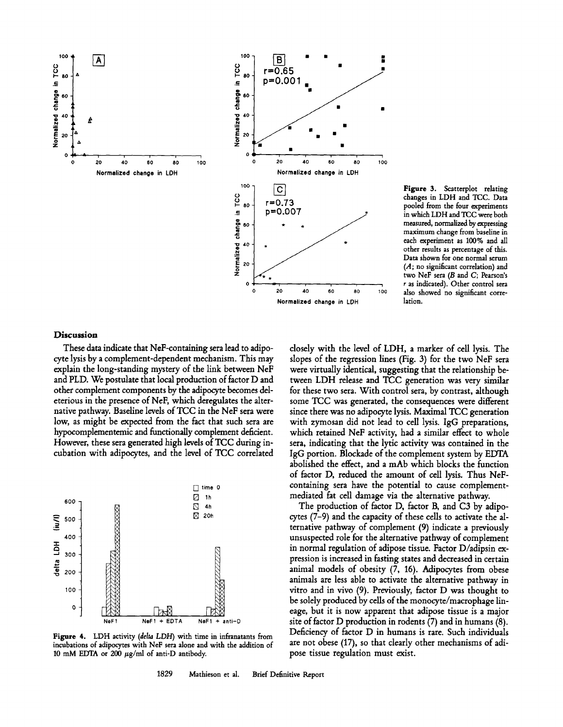



**Figure** 3. Scatterplot relating changes in LDH and TCC. Data pooled from the four experiments in which LDH and TCC were both measured, normalized by expressing maximum change from baseline in each experiment as 100% and all other results as percentage of this. Data shown for one normal serum (A; no significant correlation) and two NeF sera (B and C; Pearson's r as indicated). Other control sera also showed no significant correlation.

## **Discussion**

These data indicate that NeF-containing sera lead to adipocyte lysis by a complement-dependent mechanism. This may explain the long-standing mystery of the link between NeF and PLD. We postulate that local production of factor D and other complement components by the adipocyte becomes deleterious in the presence of NeF, which deregulates the alternative pathway. Baseline levels of TCC in the NeF sera were low, as might be expected from the fact that such sera are hypocomplementemic and functionally complement deficient. However, these sera generated high levels of TCC during incubation with adipocytes, and the level of TCC correlated



**Figure** 4. LDH activity *(delta LDH)* with time in infranatants from incubations of adipocytes with NeF sera alone and with the addition of 10 mM EDTA or 200  $\mu$ g/ml of anti-D antibody.

closely with the level of LDH, a marker of cell lysis. The slopes of the regression lines (Fig. 3) for the two NeF sera were virtually identical, suggesting that the relationship between LDH release and TCC generation was very similar for these two sera. With control sera, by contrast, although some TCC was generated, the consequences were different since there was no adipocyte lysis. Maximal TCC generation with zymosan did not lead to cell lysis. IgG preparations, which retained NeF activity, had a similar effect to whole sera, indicating that the lytic activity was contained in the IgG portion. Blockade of the complement system by EDTA abolished the effect, and a mAb which blocks the function of factor D, reduced the amount of cell lysis. Thus NeFcontaining sera have the potential to cause complementmediated fat cell damage via the alternative pathway.

The production of factor D, factor B, and C3 by adipocytes (7-9) and the capacity of these cells to activate the alternative pathway of complement (9) indicate a previously unsuspected role for the alternative pathway of complement in normal regulation of adipose tissue. Factor D/adipsin expression is increased in fasting states and decreased in certain animal models of obesity (7, 16). Adipocytes from obese animals are less able to activate the alternative pathway in vitro and in vivo (9). Previously, factor D was thought to be solely produced by cells of the monocyte/macrophage lineage, but it is now apparent that adipose tissue is a major site of factor D production in rodents (7) and in humans (8). Deficiency of factor D in humans is rare. Such individuals are not obese (17), so that clearly other mechanisms of adipose tissue regulation must exist.

1829 Mathieson et al. Brief Definitive Report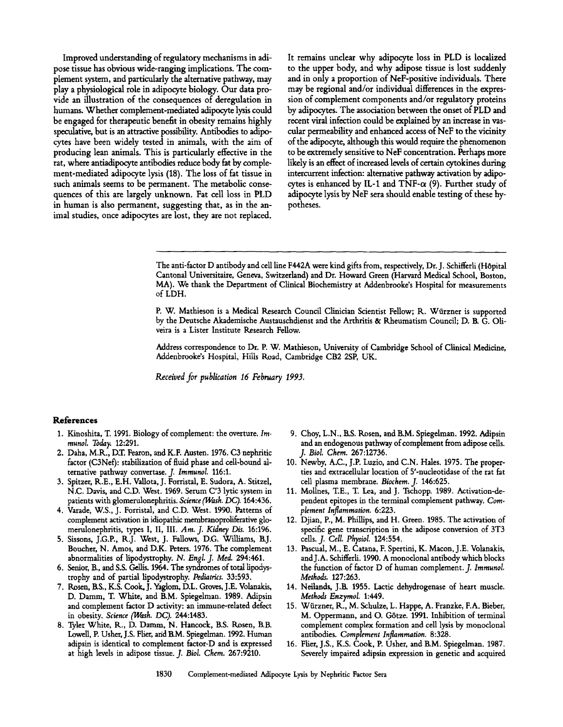Improved understanding of regulatory mechanisms in adipose tissue has obvious wide-ranging implications. The complement system, and particularly the alternative pathway, may play a physiological role in adipocyte biology. Our data provide an illustration of the consequences of deregulation in humans. Whether complement-mediated adipocyte lysis could be engaged for therapeutic benefit in obesity remains highly speculative, but is an attractive possibility. Antibodies to adipocytes have been widely tested in animals, with the aim of producing lean animals. This is particularly effective in the rat, where antiadipocyte antibodies reduce body fat by complement-mediated adipocyte lysis (18). The loss of fat tissue in such animals seems to be permanent. The metabolic consequences of this are largely unknown. Fat cell loss in PLD in human is also permanent, suggesting that, as in the animal studies, once adipocytes are lost, they are not replaced.

It remains unclear why adipocyte loss in PLD is localized to the upper body, and why adipose tissue is lost suddenly and in only a proportion of NeF-positive individuals. There may be regional and/or individual differences in the expression of complement components and/or regulatory proteins by adipocytes. The association between the onset of PLD and recent viral infection could be explained by an increase in vascular permeability and enhanced access of NeF to the vicinity of the adipocyte, although this would require the phenomenon to be extremely sensitive to NeF concentration. Perhaps more likely is an effect of increased levels of certain cytokines during intercurrent infection: alternative pathway activation by adipocytes is enhanced by IL-1 and TNF- $\alpha$  (9). Further study of adipocyte lysis by NeF sera should enable testing of these hypotheses.

The anti-factor D antibody and cell line F442A were kind gifts from, respectively, Dr. J. Schifferli (HOpital Cantonal Universitaire, Geneva, Switzerland) and Dr. Howard Green (Harvard Medical School, Boston, MA). We thank the Department of Clinical Biochemistry at Addenbrooke's Hospital for measurements of LDH.

P. W. Mathieson is a Medical Research Council Clinician Scientist Fellow; R. Würzner is supported by the Deutsche Akademische Austauschdienst and the Arthritis & Rheumatism Council; D. B. G. Oliveira is a Lister Institute Research Fellow.

Address correspondence to Dr. P. W. Mathieson, University of Cambridge School of Clinical Medicine, Addenbrooke's Hospital, Hills Road, Cambridge CB2 2SP, UK.

*Received for publication 16 February 1993.* 

#### **References**

- 1. Kinoshita, T. 1991. Biology of complement: the overture. *Immunol. Today.* 12:291.
- 2. Daha, M.R., D.T. Fearon, and K.F. Austen. 1976. C3 nephritic factor (C3Nef): stabilization of fluid phase and cell-bound alternative pathway convertase. *J. Immunol.* 116:1.
- 3. Spitzer, R.E., E.H. Vallota, J. Forristal, E. Sudora, A. Stitzel, N.C. Davis, and C.D. West. 1969. Serum C'3 lyric system in patients with glomerulonephritis. *Science (Wash. DC).* 164:436.
- 4. Varade, W.S., J. Forristal, and C.D. West, 1990. Patterns of complement activation in idiopathic membranoproliferative glomerulonephritis, types I, II, III. *Am. J. Kidney Dis.* 16:196.
- 5. Sissons, J.G.P., R.J. West, J. Fallows, D.G. Williams, B.J. Boucher, N. Amos, and D.K. Peters. 1976. The complement abnormalities of lipodystrophy. *N. Engl. J. Med.* 294:461.
- 6. Senior, B., and S.S. Gdlis. 1964. The syndromes of total lipodystrophy and of partial lipodystrophy. *Pediatrics.* 33:593.
- 7. Rosen, B.S., K.S. Cook, J. Yaglom, D.L. Groves, J.E. Volanakis, D. Damm, T. White, and B.M. Spiegelman. 1989. Adipsin and complement factor D activity: an immune-related defect in obesity. *Science (Wash. DC).* 244:1483.
- 8. Tyler White, R., D. Damm, N. Hancock, B.S. Rosen, B.B. Lowell, P. Usher, J.S. Flier, arid B.M. Spiegelman. 1992. Human adipsin is identical to complement factor-D and is expressed at high levels in adipose tissue. *J. Biol. Chem.* 267:9210.
- 9. Choy, L.N., B.S. Rosen, and B.M. Spiegelman. 1992. Adipsin and an endogenous pathway of complement from adipose cells. *J. Biol. Chem.* 267:12736.
- 10. Newby, A.C., J.P. Luzio, and C.N. Hales. 1975. The properties and extracellular location of 5'-nucleotidase of the rat fat cell plasma membrane. *Biochem. J.* 146:625.
- 11. Mollnes, T.E., T. Lea, and J. Tschopp. 1989. Activation-dependent epitopes in the terminal complement pathway. *Complement Inflammation.* 6:223.
- 12. Djian, P., M. Phillips, and H. Green. 1985. The activation of specific gene transcription in the adipose conversion of 3T3 cells. *J. Cell. Physiol.* 124:554.
- 13. Pascual, M., E. Catana, F. Spertini, K. Macon, J.E. Volanakis, and J.A. Schifferli. 1990. A monoclonal antibody which blocks the function of factor D of human complement. *J. Immunol. Methods.* 127:263.
- 14. Neilands, J.B. 1955. Lactic dehydrogenase of heart muscle. *Methods Enzymol.* 1:449.
- 15. Wiirzner, K., M. Schulze, L. Happe, A. Franzke, F.A. Bieber, M. Oppermann, and O. G6tze. 1991. Inhibition of terminal complement complex formation and cell lysis by monoclonal antibodies. *Complement Inflammation.* 8:328.
- 16. Flier, J.S., K.S. Cook, P. Usher, and B.M. Spiegelman. 1987. Severely impaired adipsin expression in genetic and acquired